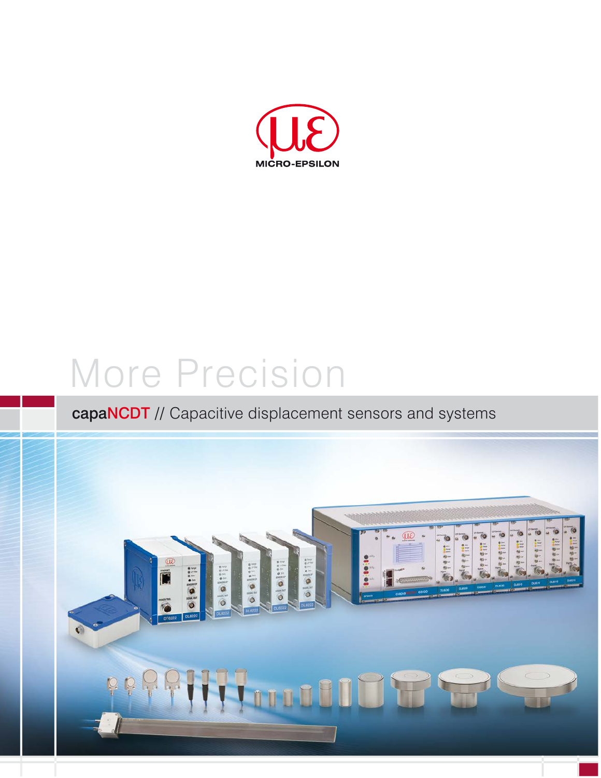

# More Precision

## capaNCDT // Capacitive displacement sensors and systems

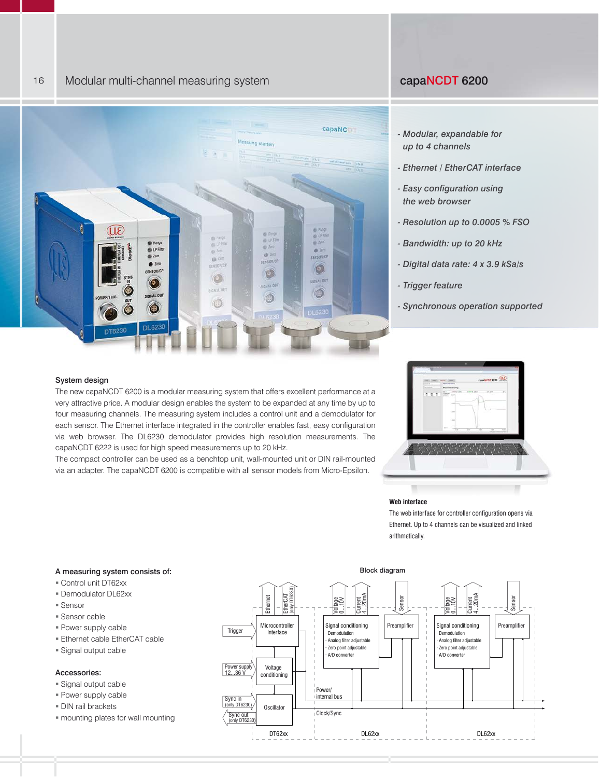

#### *- Modular, expandable for up to 4 channels*

- *Ethernet / EtherCAT interface*
- *Easy configuration using the web browser*
- *Resolution up to 0.0005 % FSO*
- *Bandwidth: up to 20 kHz*
- *Digital data rate: 4 x 3.9 kSa/s*
- *Trigger feature*
- *Synchronous operation supported*

#### System design

16

The new capaNCDT 6200 is a modular measuring system that offers excellent performance at a very attractive price. A modular design enables the system to be expanded at any time by up to four measuring channels. The measuring system includes a control unit and a demodulator for each sensor. The Ethernet interface integrated in the controller enables fast, easy configuration via web browser. The DL6230 demodulator provides high resolution measurements. The capaNCDT 6222 is used for high speed measurements up to 20 kHz.

The compact controller can be used as a benchtop unit, wall-mounted unit or DIN rail-mounted via an adapter. The capaNCDT 6200 is compatible with all sensor models from Micro-Epsilon.



#### **Web interface**

The web interface for controller configuration opens via Ethernet. Up to 4 channels can be visualized and linked arithmetically.



#### A measuring system consists of:

- Control unit DT62xx
- **Demodulator DL62xx**
- Sensor
- Sensor cable
- Power supply cable
- Ethernet cable EtherCAT cable
- Signal output cable

#### Accessories:

- Signal output cable
- Power supply cable
- DIN rail brackets
- mounting plates for wall mounting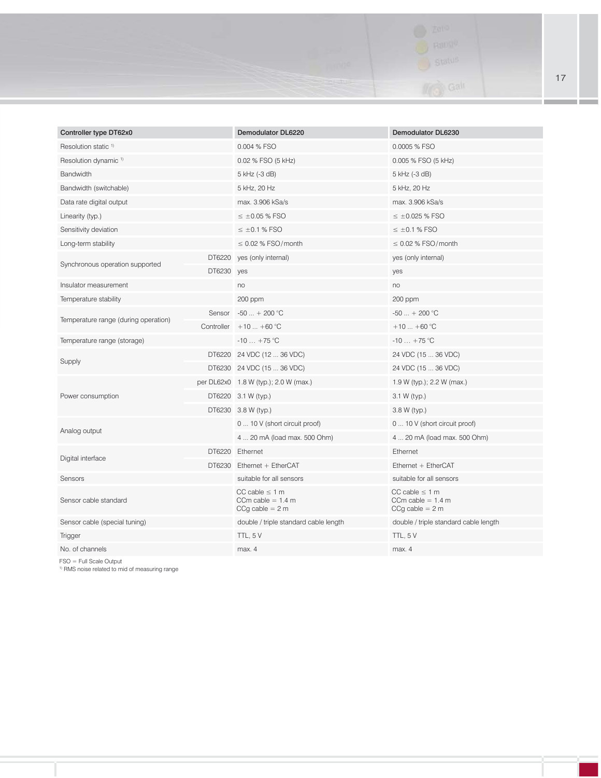

| Controller type DT62x0               |            | Demodulator DL6220                                              | Demodulator DL6230                                              |
|--------------------------------------|------------|-----------------------------------------------------------------|-----------------------------------------------------------------|
| Resolution static <sup>1)</sup>      |            | 0.004 % FSO                                                     | 0.0005 % FSO                                                    |
| Resolution dynamic <sup>1)</sup>     |            | 0.02 % FSO (5 kHz)                                              | 0.005 % FSO (5 kHz)                                             |
| Bandwidth                            |            | 5 kHz (-3 dB)                                                   | 5 kHz (-3 dB)                                                   |
| Bandwidth (switchable)               |            | 5 kHz, 20 Hz                                                    | 5 kHz, 20 Hz                                                    |
| Data rate digital output             |            | max. 3.906 kSa/s                                                | max. 3.906 kSa/s                                                |
| Linearity (typ.)                     |            | $\leq$ ±0.05 % FSO                                              | $\leq$ ±0.025 % FSO                                             |
| Sensitivity deviation                |            | $\leq$ ±0.1 % FSO                                               | $\leq$ ±0.1 % FSO                                               |
| Long-term stability                  |            | $\leq$ 0.02 % FSO/month                                         | $\leq$ 0.02 % FSO/month                                         |
| Synchronous operation supported      |            | DT6220 yes (only internal)                                      | yes (only internal)                                             |
|                                      | DT6230 yes |                                                                 | yes                                                             |
| Insulator measurement                |            | no                                                              | no                                                              |
| Temperature stability                |            | 200 ppm                                                         | 200 ppm                                                         |
| Temperature range (during operation) | Sensor     | $-50$ + 200 °C                                                  | $-50$ + 200 °C                                                  |
|                                      |            | Controller $+10$ +60 °C                                         | $+10$ +60 °C                                                    |
| Temperature range (storage)          |            | $-10 + 75$ °C                                                   | $-10 + 75$ °C                                                   |
| Supply                               |            | DT6220 24 VDC (12  36 VDC)                                      | 24 VDC (15  36 VDC)                                             |
|                                      |            | DT6230 24 VDC (15  36 VDC)                                      | 24 VDC (15  36 VDC)                                             |
|                                      |            | per DL62x0 1.8 W (typ.); 2.0 W (max.)                           | 1.9 W (typ.); 2.2 W (max.)                                      |
| Power consumption                    |            | DT6220 3.1 W (typ.)                                             | $3.1 W$ (typ.)                                                  |
|                                      |            | DT6230 3.8 W (typ.)                                             | 3.8 W (typ.)                                                    |
| Analog output                        |            | 0  10 V (short circuit proof)                                   | 0  10 V (short circuit proof)                                   |
|                                      |            | 4  20 mA (load max. 500 Ohm)                                    | 4  20 mA (load max. 500 Ohm)                                    |
| Digital interface                    |            | DT6220 Ethernet                                                 | Ethernet                                                        |
|                                      |            | DT6230 Ethernet + EtherCAT                                      | Ethernet + EtherCAT                                             |
| Sensors                              |            | suitable for all sensors                                        | suitable for all sensors                                        |
| Sensor cable standard                |            | CC cable $\leq 1$ m<br>CCm cable = $1.4$ m<br>$CCg$ cable = 2 m | CC cable $\leq 1$ m<br>CCm cable = $1.4$ m<br>$CCg$ cable = 2 m |
| Sensor cable (special tuning)        |            | double / triple standard cable length                           | double / triple standard cable length                           |
| <b>Trigger</b>                       |            | TTL, 5 V                                                        | TTL, 5V                                                         |
| No. of channels                      |            | max. 4                                                          | max. 4                                                          |

FSO = Full Scale Output 1) RMS noise related to mid of measuring range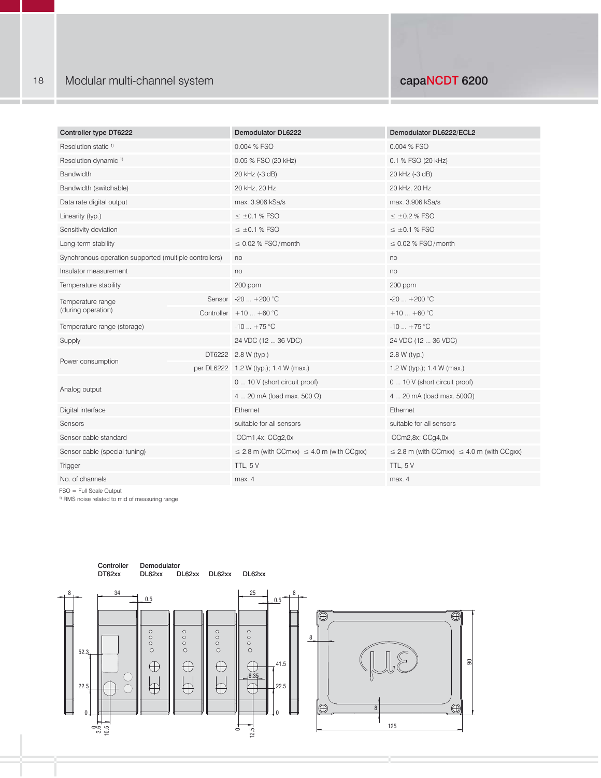| Controller type DT6222                                 |        | <b>Demodulator DL6222</b>                           | Demodulator DL6222/ECL2                             |
|--------------------------------------------------------|--------|-----------------------------------------------------|-----------------------------------------------------|
| Resolution static <sup>1)</sup>                        |        | 0.004 % FSO                                         | 0.004 % FSO                                         |
| Resolution dynamic <sup>1)</sup>                       |        | 0.05 % FSO (20 kHz)                                 | 0.1 % FSO (20 kHz)                                  |
| Bandwidth                                              |        | 20 kHz (-3 dB)                                      | 20 kHz (-3 dB)                                      |
| Bandwidth (switchable)                                 |        | 20 kHz, 20 Hz                                       | 20 kHz, 20 Hz                                       |
| Data rate digital output                               |        | max. 3.906 kSa/s                                    | max. 3.906 kSa/s                                    |
| Linearity (typ.)                                       |        | $\leq \pm 0.1$ % FSO                                | $\leq$ ±0.2 % FSO                                   |
| Sensitivity deviation                                  |        | $\leq \pm 0.1$ % FSO                                | $\leq \pm 0.1$ % FSO                                |
| Long-term stability                                    |        | $\leq$ 0.02 % FSO/month                             | $\leq$ 0.02 % FSO/month                             |
| Synchronous operation supported (multiple controllers) |        | no                                                  | no                                                  |
| Insulator measurement                                  |        | no                                                  | no                                                  |
| Temperature stability                                  |        | 200 ppm                                             | 200 ppm                                             |
| Temperature range                                      | Sensor | $-20$ $+200$ °C                                     | $-20$ $+200$ °C                                     |
| (during operation)                                     |        | Controller $+10+60$ °C                              | $+10$ +60 °C                                        |
| Temperature range (storage)                            |        | $-10$ $+75$ °C                                      | $-10$ +75 °C                                        |
| Supply                                                 |        | 24 VDC (12  36 VDC)                                 | 24 VDC (12  36 VDC)                                 |
| Power consumption                                      |        | DT6222 2.8 W (typ.)                                 | 2.8 W (typ.)                                        |
|                                                        |        | per DL6222 1.2 W (typ.); 1.4 W (max.)               | 1.2 W (typ.); 1.4 W (max.)                          |
| Analog output                                          |        | 0  10 V (short circuit proof)                       | 0  10 V (short circuit proof)                       |
|                                                        |        | 4  20 mA (load max. 500 $\Omega$ )                  | 4  20 mA (load max. $500\Omega$ )                   |
| Digital interface                                      |        | Ethernet                                            | Ethernet                                            |
| Sensors                                                |        | suitable for all sensors                            | suitable for all sensors                            |
| Sensor cable standard                                  |        | CCm1,4x; CCg2,0x                                    | CCm2,8x; CCg4,0x                                    |
| Sensor cable (special tuning)                          |        | $\leq$ 2.8 m (with CCmxx) $\leq$ 4.0 m (with CCgxx) | $\leq$ 2.8 m (with CCmxx) $\leq$ 4.0 m (with CCgxx) |
| Trigger                                                |        | TTL, 5V                                             | TTL, 5V                                             |
| No. of channels                                        |        | max. 4                                              | max. 4                                              |

FSO = Full Scale Output

1) RMS noise related to mid of measuring range

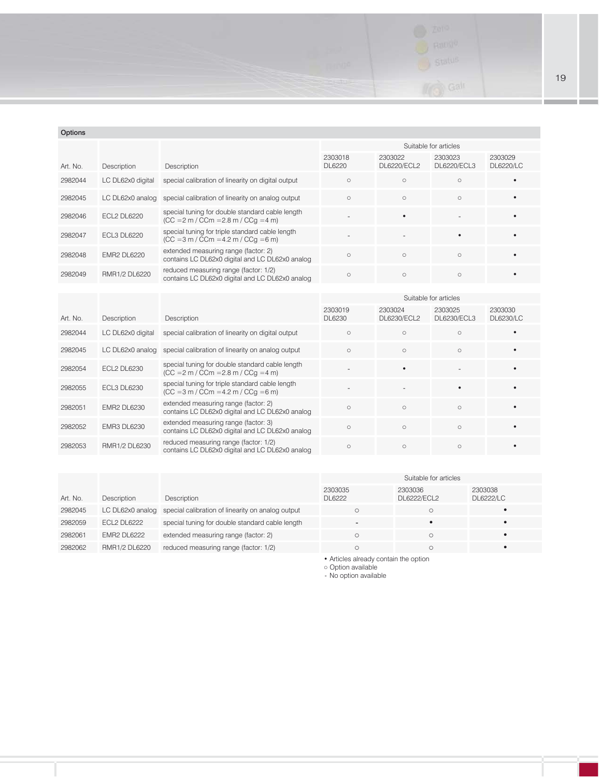

#### Options

|          |                    |                                                                                               | Suitable for articles |                        |                          |                      |  |
|----------|--------------------|-----------------------------------------------------------------------------------------------|-----------------------|------------------------|--------------------------|----------------------|--|
| Art. No. | Description        | Description                                                                                   | 2303018<br>DL6220     | 2303022<br>DL6220/ECL2 | 2303023<br>DL6220/ECL3   | 2303029<br>DL6220/LC |  |
| 2982044  | LC DL62x0 digital  | special calibration of linearity on digital output                                            | $\circ$               | $\circ$                | $\circ$                  |                      |  |
| 2982045  |                    | LC DL62x0 analog special calibration of linearity on analog output                            | $\circ$               | $\circ$                | $\circ$                  |                      |  |
| 2982046  | <b>ECL2 DL6220</b> | special tuning for double standard cable length<br>$(CC = 2 m / C C m = 2.8 m / C C q = 4 m)$ |                       |                        | $\overline{\phantom{0}}$ |                      |  |
| 2982047  | <b>ECL3 DL6220</b> | special tuning for triple standard cable length<br>$(CC = 3 m / C Cm = 4.2 m / C Cq = 6 m)$   |                       |                        |                          |                      |  |
| 2982048  | <b>EMR2 DL6220</b> | extended measuring range (factor: 2)<br>contains LC DL62x0 digital and LC DL62x0 analog       | $\circ$               | $\circ$                | $\circ$                  |                      |  |
| 2982049  | RMR1/2 DL6220      | reduced measuring range (factor: 1/2)<br>contains LC DL62x0 digital and LC DL62x0 analog      | $\circ$               | $\circ$                | $\circ$                  |                      |  |

|          |                    |                                                                                               | Suitable for articles |                        |                        |                      |  |
|----------|--------------------|-----------------------------------------------------------------------------------------------|-----------------------|------------------------|------------------------|----------------------|--|
| Art. No. | Description        | Description                                                                                   | 2303019<br>DL6230     | 2303024<br>DL6230/ECL2 | 2303025<br>DL6230/ECL3 | 2303030<br>DL6230/LC |  |
| 2982044  | LC DL62x0 digital  | special calibration of linearity on digital output                                            | $\circ$               | $\circ$                | $\circ$                |                      |  |
| 2982045  |                    | LC DL62x0 analog special calibration of linearity on analog output                            | $\circ$               | $\circ$                | $\circ$                |                      |  |
| 2982054  | ECL2 DL6230        | special tuning for double standard cable length<br>$(CC = 2 m / C C m = 2.8 m / C C q = 4 m)$ |                       |                        |                        |                      |  |
| 2982055  | <b>ECL3 DL6230</b> | special tuning for triple standard cable length<br>$(CC = 3 m / C C m = 4.2 m / C C q = 6 m)$ |                       |                        |                        |                      |  |
| 2982051  | <b>EMR2 DL6230</b> | extended measuring range (factor: 2)<br>contains LC DL62x0 digital and LC DL62x0 analog       | $\Omega$              | $\circ$                | $\circ$                |                      |  |
| 2982052  | <b>EMR3 DL6230</b> | extended measuring range (factor: 3)<br>contains LC DL62x0 digital and LC DL62x0 analog       | $\circ$               | $\circ$                | $\circ$                |                      |  |
| 2982053  | RMR1/2 DL6230      | reduced measuring range (factor: 1/2)<br>contains LC DL62x0 digital and LC DL62x0 analog      | $\circ$               | $\circ$                | $\circ$                |                      |  |

|          |                    |                                                                    | Suitable for articles    |                        |                             |  |
|----------|--------------------|--------------------------------------------------------------------|--------------------------|------------------------|-----------------------------|--|
| Art. No. | Description        | <b>Description</b>                                                 | 2303035<br>DL6222        | 2303036<br>DL6222/ECL2 | 2303038<br><b>DL6222/LC</b> |  |
| 2982045  |                    | LC DL62x0 analog special calibration of linearity on analog output |                          |                        |                             |  |
| 2982059  | ECL2 DL6222        | special tuning for double standard cable length                    | $\overline{\phantom{a}}$ |                        |                             |  |
| 2982061  | <b>EMR2 DL6222</b> | extended measuring range (factor: 2)                               |                          |                        |                             |  |
| 2982062  | RMR1/2 DL6220      | reduced measuring range (factor: 1/2)                              |                          |                        |                             |  |

• Articles already contain the option

○ Option available

- No option available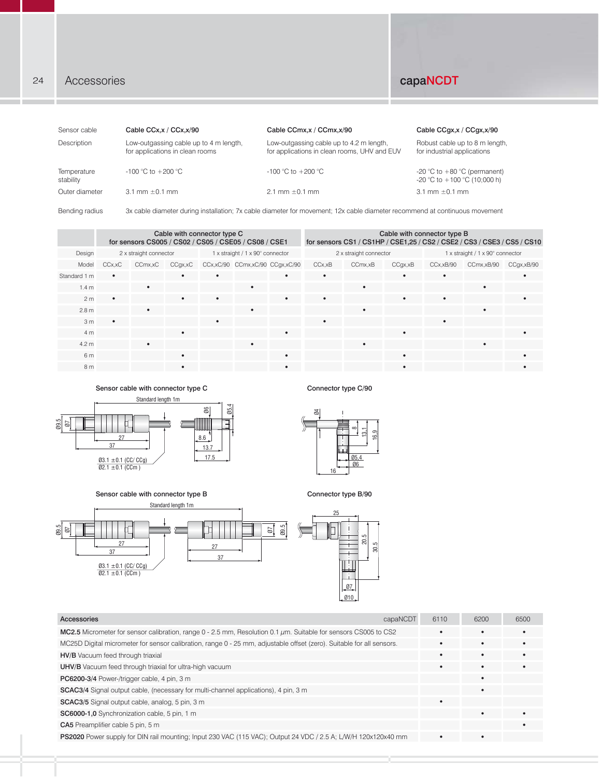### 24 Accessories **capaNCDT**

| Sensor cable             | Cable CCx, x / CCx, x/90                                                  | Cable CCmx, x / CCmx, x/90                                                                                                 | Cable CCqx,x / CCqx,x/90                                         |
|--------------------------|---------------------------------------------------------------------------|----------------------------------------------------------------------------------------------------------------------------|------------------------------------------------------------------|
| Description              | Low-outgassing cable up to 4 m length,<br>for applications in clean rooms | Low-outgassing cable up to 4.2 m length,<br>for applications in clean rooms, UHV and EUV                                   | Robust cable up to 8 m length,<br>for industrial applications    |
| Temperature<br>stability | $-100$ °C to $+200$ °C                                                    | $-100$ °C to $+200$ °C                                                                                                     | -20 °C to $+80$ °C (permanent)<br>-20 °C to $+100$ °C (10:000 h) |
| Outer diameter           | 3.1 mm $\pm$ 0.1 mm                                                       | $2.1 \text{ mm} \pm 0.1 \text{ mm}$                                                                                        | 3.1 mm $\pm$ 0.1 mm                                              |
| Bending radius           |                                                                           | 3x cable diameter during installation; 7x cable diameter for movement; 12x cable diameter recommend at continuous movement |                                                                  |

Cable with connector type C for sensors CS005 / CS02 / CS05 / CSE05 / CS08 / CSE1 13.7 Cable with connector type B for sensors CS1 / CS1HP / CSE1,25 / CS2 / CSE2 / CS3 / CSE3 / CS5 / CS10 Design 2 x straight connector 1 x straight / 1 x straight / 1 x 90° connector 2 x straight connector 1 x straight / 1 x 90° connector Model CCx,xC CCmx,xC CCgx,xC CCx,xC/90 CCmx,xC/90 CCgx,xC/90 CCx,xB CCmx,xB CCgx,xB CCx,xB/90 CCmx,xB/90 CCgx,xB/90 Standard 1 m • • • • • • • • 1.4 m • • • • 2 m • • • • • • • • 2.8 m • • • • 3 m • • • • 4 m • • • • 4.2 m • • • • 6 m • • • • 8 m • • • • ....  $\overline{ }$ 13,1 8 16,9 2 x straight connector

 $\frac{8}{2}$ Standard length 1m Sensor cable with connector type C



Connector type C/90



Ø10



| capaNCDT<br>Accessories                                                                                                | 6110 | 6200       | 6500 |
|------------------------------------------------------------------------------------------------------------------------|------|------------|------|
| MC2.5 Micrometer for sensor calibration, range $0 - 2.5$ mm, Resolution 0.1 $\mu$ m. Suitable for sensors CS005 to CS2 | ٠    |            |      |
| MC25D Digital micrometer for sensor calibration, range 0 - 25 mm, adjustable offset (zero). Suitable for all sensors.  |      | $\epsilon$ |      |
| HV/B Vacuum feed through triaxial                                                                                      | ٠    |            |      |
| <b>UHV/B</b> Vacuum feed through triaxial for ultra-high vacuum                                                        |      |            |      |
| PC6200-3/4 Power-/trigger cable, 4 pin, 3 m                                                                            |      |            |      |
| <b>SCAC3/4</b> Signal output cable, (necessary for multi-channel applications), 4 pin, 3 m                             |      |            |      |
| <b>SCAC3/5</b> Signal output cable, analog, 5 pin, 3 m                                                                 |      |            |      |
| SC6000-1,0 Synchronization cable, 5 pin, 1 m                                                                           |      |            | ٠    |
| CA5 Preamplifier cable 5 pin, 5 m                                                                                      |      |            |      |
| PS2020 Power supply for DIN rail mounting; Input 230 VAC (115 VAC); Output 24 VDC / 2.5 A; L/W/H 120x120x40 mm         | ٠    |            |      |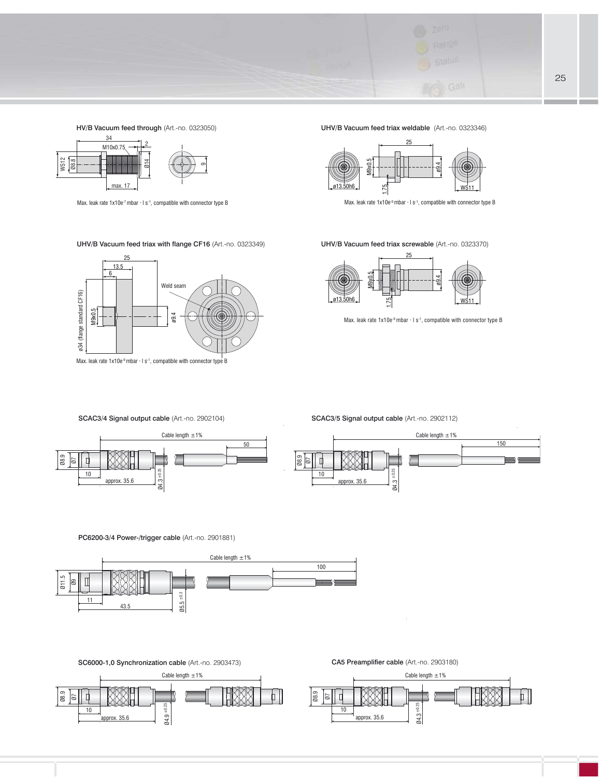

HV/B Vacuum feed through (Art.-no. 0323050)



Max. leak rate  $1x10e^{\frac{7}{1}}$ mbar  $\cdot$  I s $\cdot$ 1, compatible with connector type B

UHV/B Vacuum feed triax with flange CF16 (Art.-no. 0323349) **UHV/B Vacuum feed triax screwable (**Art.-no. 0323370)



Max. leak rate  $1x10e^9$  mbar  $\cdot$  l s<sup>-1</sup>, compatible with connector type B

UHV/B Vacuum feed triax weldable (Art.-no. 0323346)



Max. leak rate 1x10e-9 mbar · l s-1, compatible with connector type B



Max. leak rate  $1x10e^{-9}$  mbar  $\cdot$  l s<sup>-1</sup>, compatible with connector type B

SCAC3/4 Signal output cable (Art.-no. 2902104)



SCAC3/5 Signal output cable (Art.-no. 2902112)



PC6200-3/4 Power-/trigger cable (Art.-no. 2901881)



SC6000-1,0 Synchronization cable (Art.-no. 2903473)<br>
CA5 Preamplifier cable (Art.-no. 2903180)